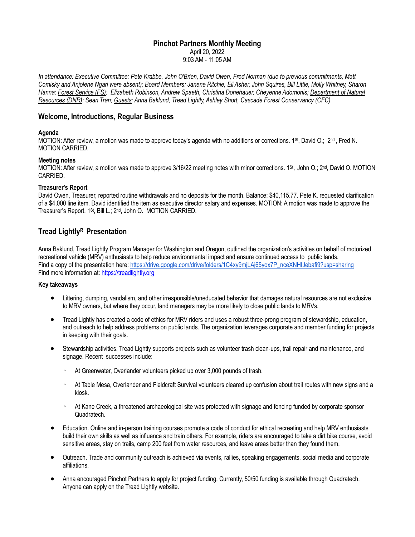## **Pinchot Partners Monthly Meeting**

April 20, 2022

9:03 AM - 11:05 AM

In attendance: Executive Committee: Pete Krabbe, John O'Brien, David Owen, Fred Norman (due to previous commitments, Matt Comisky and Anjolene Ngari were absent); Board Members: Janene Ritchie, Eli Asher, John Squires, Bill Little, Molly Whitney, Sharon *Hanna; Forest Service (FS): Elizabeth Robinson, Andrew Spaeth, Christina Donehauer, Cheyenne Adomonis; Department of Natural Resources (DNR): Sean Tran; Guests: Anna Baklund, Tread Lightly, Ashley Short, Cascade Forest Conservancy (CFC)*

# **Welcome, Introductions, Regular Business**

## **Agenda**

MOTION: After review, a motion was made to approve today's agenda with no additions or corrections. 1<sup>st</sup>, David O.; 2<sup>nd</sup>, Fred N. MOTION CARRIED.

### **Meeting notes**

MOTION: After review, a motion was made to approve 3/16/22 meeting notes with minor corrections. 1<sup>st</sup>, John O.; 2<sup>nd</sup>, David O. MOTION CARRIED.

### **Treasurer's Report**

David Owen, Treasurer, reported routine withdrawals and no deposits for the month. Balance: \$40,115.77. Pete K. requested clarification of a \$4,000 line item. David identified the item as executive director salary and expenses. MOTION: A motion was made to approve the Treasurer's Report. 1St, Bill L.; 2nd, John O. MOTION CARRIED.

# **Tread LightlyR Presentation**

Anna Baklund, Tread Lightly Program Manager for Washington and Oregon, outlined the organization's activities on behalf of motorized recreational vehicle (MRV) enthusiasts to help reduce environmental impact and ensure continued access to public lands. Find a copy of the presentation here: https://drive.google.com/drive/folders/1C4xy9mjLAj65yox7P\_nceXNHIJebafi9?usp=sharing Find more information at: https://treadlightly.org

### **Key takeaways**

- Littering, dumping, vandalism, and other irresponsible/uneducated behavior that damages natural resources are not exclusive to MRV owners, but where they occur, land managers may be more likely to close public lands to MRVs.
- Tread Lightly has created a code of ethics for MRV riders and uses a robust three-prong program of stewardship, education, and outreach to help address problems on public lands. The organization leverages corporate and member funding for projects in keeping with their goals.
- Stewardship activities. Tread Lightly supports projects such as volunteer trash clean-ups, trail repair and maintenance, and signage. Recent successes include:
	- At Greenwater, Overlander volunteers picked up over 3,000 pounds of trash.
	- <sup>o</sup> At Table Mesa, Overlander and Fieldcraft Survival volunteers cleared up confusion about trail routes with new signs and a kiosk.
	- <sup>o</sup> At Kane Creek, a threatened archaeological site was protected with signage and fencing funded by corporate sponsor Quadratech.
- Education. Online and in-person training courses promote a code of conduct for ethical recreating and help MRV enthusiasts build their own skills as well as influence and train others. For example, riders are encouraged to take a dirt bike course, avoid sensitive areas, stay on trails, camp 200 feet from water resources, and leave areas better than they found them.
- Outreach. Trade and community outreach is achieved via events, rallies, speaking engagements, social media and corporate affiliations.
- Anna encouraged Pinchot Partners to apply for project funding. Currently, 50/50 funding is available through Quadratech. Anyone can apply on the Tread Lightly website.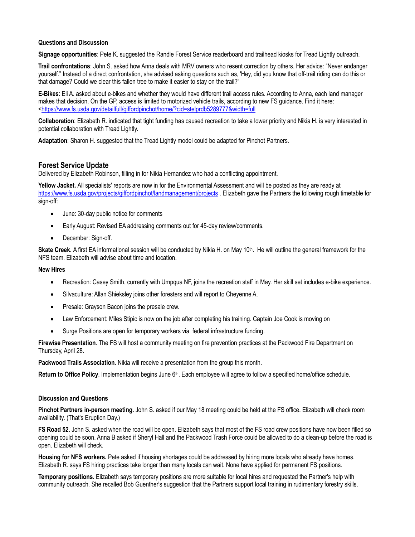### **Questions and Discussion**

**Signage opportunities**: Pete K. suggested the Randle Forest Service readerboard and trailhead kiosks for Tread Lightly outreach.

**Trail confrontations**: John S. asked how Anna deals with MRV owners who resent correction by others. Her advice: "Never endanger yourself." Instead of a direct confrontation, she advised asking questions such as, 'Hey, did you know that off-trail riding can do this or that damage? Could we clear this fallen tree to make it easier to stay on the trail?"

**E-Bikes**: Eli A. asked about e-bikes and whether they would have different trail access rules. According to Anna, each land manager makes that decision. On the GP, access is limited to motorized vehicle trails, according to new FS guidance. Find it here: <https://www.fs.usda.gov/detailfull/giffordpinchot/home/?cid=stelprdb5289777&width=full

**Collaboration**: Elizabeth R. indicated that tight funding has caused recreation to take a lower priority and Nikia H. is very interested in potential collaboration with Tread Lightly.

**Adaptation**: Sharon H. suggested that the Tread Lightly model could be adapted for Pinchot Partners.

## **Forest Service Update**

Delivered by Elizabeth Robinson, filling in for Nikia Hernandez who had a conflicting appointment.

**Yellow Jacket.** All specialists' reports are now in for the Environmental Assessment and will be posted as they are ready at https://www.fs.usda.gov/projects/giffordpinchot/landmanagement/projects . Elizabeth gave the Partners the following rough timetable for sign-off:

- June: 30-day public notice for comments
- Early August: Revised EA addressing comments out for 45-day review/comments.
- December: Sign-off.

Skate Creek. A first EA informational session will be conducted by Nikia H. on May 10<sup>th</sup>. He will outline the general framework for the NFS team. Elizabeth will advise about time and location.

#### **New Hires**

- Recreation: Casey Smith, currently with Umpqua NF, joins the recreation staff in May. Her skill set includes e-bike experience.
- Silvaculture: Allan Shieksley joins other foresters and will report to Cheyenne A.
- Presale: Grayson Bacon joins the presale crew.
- Law Enforcement: Miles Stipic is now on the job after completing his training. Captain Joe Cook is moving on
- Surge Positions are open for temporary workers via federal infrastructure funding.

**Firewise Presentation**. The FS will host a community meeting on fire prevention practices at the Packwood Fire Department on Thursday, April 28.

**Packwood Trails Association**. Nikia will receive a presentation from the group this month.

**Return to Office Policy**. Implementation begins June 6th. Each employee will agree to follow a specified home/office schedule.

#### **Discussion and Questions**

**Pinchot Partners in-person meeting.** John S. asked if our May 18 meeting could be held at the FS office. Elizabeth will check room availability. (That's Eruption Day.)

**FS Road 52.** John S. asked when the road will be open. Elizabeth says that most of the FS road crew positions have now been filled so opening could be soon. Anna B asked if Sheryl Hall and the Packwood Trash Force could be allowed to do a clean-up before the road is open. Elizabeth will check.

**Housing for NFS workers.** Pete asked if housing shortages could be addressed by hiring more locals who already have homes. Elizabeth R. says FS hiring practices take longer than many locals can wait. None have applied for permanent FS positions.

**Temporary positions.** Elizabeth says temporary positions are more suitable for local hires and requested the Partner's help with community outreach. She recalled Bob Guenther's suggestion that the Partners support local training in rudimentary forestry skills.